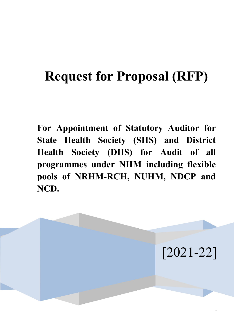# **Request for Proposal (RFP)**

**For Appointment of Statutory Auditor for State Health Society (SHS) and District Health Society (DHS) for Audit of all programmes under NHM including flexible pools of NRHM-RCH, NUHM, NDCP and NCD.** 

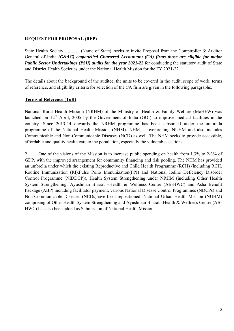## **REQUEST FOR PROPOSAL (RFP)**

State Health Society….......... (Name of State), seeks to invite Proposal from the Comptroller & Auditor General of India *(C&AG) empanelled Chartered Accountant (CA) firms those are eligible for major Public Sector Undertakings (PSU) audits for the year 2021-22* for conducting the statutory audit of State and District Health Societies under the National Health Mission for the FY 2021-22.

The details about the background of the auditee, the units to be covered in the audit, scope of work, terms of reference, and eligibility criteria for selection of the CA firm are given in the following paragraphs.

# **Terms of Reference (ToR)**

National Rural Health Mission (NRHM) of the Ministry of Health & Family Welfare (MoHFW) was launched on  $12<sup>th</sup>$  April, 2005 by the Government of India (GOI) to improve medical facilities in the country. Since 2013-14 onwards the NRHM programme has been subsumed under the umbrella programme of the National Health Mission (NHM). NHM is overarching NUHM and also includes Communicable and Non-Communicable Diseases (NCD) as well. The NHM seeks to provide accessible, affordable and quality health care to the population, especially the vulnerable sections.

2. One of the visions of the Mission is to increase public spending on health from 1.3% to 2-3% of GDP, with the improved arrangement for community financing and risk pooling. The NHM has provided an umbrella under which the existing Reproductive and Child Health Programme (RCH) (including RCH, Routine Immunization (RI),Pulse Polio Immunization(PPI) and National Iodine Deficiency Disorder Control Programme (NIDDCP)), Health System Strengthening under NRHM (including Other Health System Strengthening, Ayushman Bharat –Health & Wellness Centre (AB-HWC) and Asha Benefit Package (ABP) including facilitator payment, various National Disease Control Programmes (NDCPs) and Non-Communicable Diseases (NCDs)have been repositioned. National Urban Health Mission (NUHM) comprising of Other Health System Strengthening and Ayushman Bharat –Health & Wellness Centre (AB-HWC) has also been added as Submission of National Health Mission.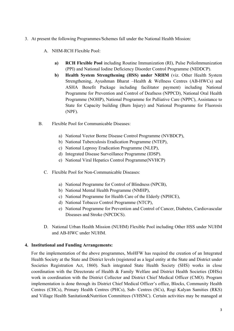- 3. At present the following Programmes/Schemes fall under the National Health Mission:
	- A. NHM-RCH Flexible Pool:
		- **a) RCH Flexible Pool** including Routine Immunization (RI), Pulse PolioImmunization (PPI) and National Iodine Deficiency Disorder Control Programme (NIDDCP).
		- **b) Health System Strengthening (HSS) under NRHM** (viz. Other Health System Strengthening, Ayushman Bharat –Health & Wellness Centres (AB-HWCs) and ASHA Benefit Package including facilitator payment) including National Programme for Prevention and Control of Deafness (NPPCD), National Oral Health Programme (NOHP), National Programme for Palliative Care (NPPC), Assistance to State for Capacity building (Burn Injury) and National Programme for Fluorosis (NPF).
	- B. Flexible Pool for Communicable Diseases:
		- a) National Vector Borne Disease Control Programme (NVBDCP),
		- b) National Tuberculosis Eradication Programme (NTEP),
		- c) National Leprosy Eradication Programme (NLEP),
		- d) Integrated Disease Surveillance Programme (IDSP).
		- e) National Viral Hepatics Control Programme(NVHCP)
		- C. Flexible Pool for Non-Communicable Diseases:
			- a) National Programme for Control of Blindness (NPCB),
			- b) National Mental Health Programme (NMHP),
			- c) National Programme for Health Care of the Elderly (NPHCE),
			- d) National Tobacco Control Programme (NTCP),
			- e) National Programme for Prevention and Control of Cancer, Diabetes, Cardiovascular Diseases and Stroke (NPCDCS).
		- D. National Urban Health Mission (NUHM) Flexible Pool including Other HSS under NUHM and AB-HWC under NUHM.

## **4. Institutional and Funding Arrangements:**

For the implementation of the above programmes, MoHFW has required the creation of an Integrated Health Society at the State and District levels (registered as a legal entity at the State and District under Societies Registration Act, 1860). Such integrated State Health Society (SHS) works in close coordination with the Directorate of Health & Family Welfare and District Health Societies (DHSs) work in coordination with the District Collector and District Chief Medical Officer (CMO). Program implementation is done through its District Chief Medical Officer's office, Blocks, Community Health Centres (CHCs), Primary Health Centres (PHCs), Sub- Centres (SCs), Rogi Kalyan Samities (RKS) and Village Health Sanitation&Nutrition Committees (VHSNC). Certain activities may be managed at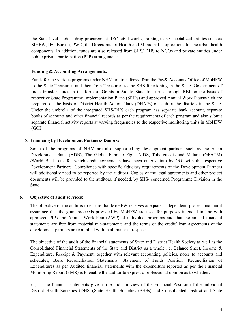the State level such as drug procurement, IEC, civil works, training using specialized entities such as SIHFW, IEC Bureau, PWD, the Directorate of Health and Municipal Corporations for the urban health components. In addition, funds are also released from SHS/ DHS to NGOs and private entities under public private participation (PPP) arrangements.

#### **Funding & Accounting Arrangements:**

Funds for the various programs under NHM are transferred fromthe Pay& Accounts Office of MoHFW to the State Treasuries and then from Treasuries to the SHS functioning in the State. Government of India transfer funds in the form of Grants-in-Aid to State treasuries through RBI on the basis of respective State Programme Implementation Plans (SPIPs) and approved Annual Work Planswhich are prepared on the basis of District Health Action Plans (DHAPs) of each of the districts in the State. Under the umbrella of the integrated SHS/DHS each program has separate bank account, separate books of accounts and other financial records as per the requirements of each program and also submit separate financial activity reports at varying frequencies to the respective monitoring units in MoHFW (GOI).

## 5. **Financing by Development Partners/ Donors:**

Some of the programs of NHM are also supported by development partners such as the Asian Development Bank (ADB), The Global Fund to Fight AIDS, Tuberculosis and Malaria (GFATM) /World Bank, etc. for which credit agreements have been entered into by GOI with the respective Development Partners. Compliance with specific fiduciary requirements of the Development Partners will additionally need to be reported by the auditors. Copies of the legal agreements and other project documents will be provided to the auditors, if needed, by SHS/ concerned Programme Division in the State.

## **6. Objective of audit services:**

The objective of the audit is to ensure that MoHFW receives adequate, independent, professional audit assurance that the grant proceeds provided by MoHFW are used for purposes intended in line with approved PIPs and Annual Work Plan (AWP) of individual programs and that the annual financial statements are free from material mis-statements and the terms of the credit/ loan agreements of the development partners are complied with in all material respects.

The objective of the audit of the financial statements of State and District Health Society as well as the Consolidated Financial Statements of the State and District as a whole i.e. Balance Sheet, Income & Expenditure, Receipt & Payment, together with relevant accounting policies, notes to accounts and schedules, Bank Reconciliation Statements, Statement of Funds Position, Reconciliation of Expenditures as per Audited financial statements with the expenditure reported as per the Financial Monitoring Report (FMR) is to enable the auditor to express a professional opinion as to whether:-

(1) the financial statements give a true and fair view of the Financial Position of the individual District Health Societies (DHSs),State Health Societies (SHSs) and Consolidated District and State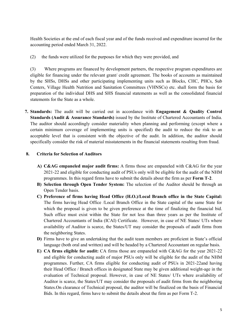Health Societies at the end of each fiscal year and of the funds received and expenditure incurred for the accounting period ended March 31, 2022.

(2) the funds were utilized for the purposes for which they were provided, and

(3) Where programs are financed by development partners, the respective program expenditures are eligible for financing under the relevant grant/ credit agreement. The books of accounts as maintained by the SHSs, DHSs and other participating implementing units such as Blocks, CHC, PHCs, Sub Centers, Village Health Nutrition and Sanitation Committees (VHNSCs) etc. shall form the basis for preparation of the individual DHS and SHS financial statements as well as the consolidated financial statements for the State as a whole.

**7. Standards:** The audit will be carried out in accordance with **Engagement & Quality Control Standards (Audit & Assurance Standards)** issued by the Institute of Chartered Accountants of India. The auditor should accordingly consider materiality when planning and performing (except where a certain minimum coverage of implementing units is specified) the audit to reduce the risk to an acceptable level that is consistent with the objective of the audit. In addition, the auditor should specifically consider the risk of material misstatements in the financial statements resulting from fraud.

## **8. Criteria for Selection of Auditors**

- **A) C&AG empaneled major audit firms:** A firms those are empaneled with C&AG for the year 2021-22 and eligible for conducting audit of PSUs only will be eligible for the audit of the NHM programmes. In this regard firms have to submit the details about the firm as per **Form T-2**.
- **B) Selection through Open Tender System:** The selection of the Auditor should be through an Open Tender basis.
- **C) Preference of firms having Head Office (H.O.)/Local Branch office in the State Capital:**  The firms having Head Office /Local Branch Office in the State capital of the same State for which the proposal is given to be given preference at the time of finalizing the financial bid. Such office must exist within the State for not less than three years as per the Institute of Chartered Accountants of India (ICAI) Certificate. However, in case of NE States/ UTs where availability of Auditor is scarce, the States/UT may consider the proposals of audit firms from the neighboring States.
- **D)** Firms have to give an undertaking that the audit team members are proficient in State's official language (both oral and written) and will be headed by a Chartered Accountant on regular basis.
- **E) CA firms eligible for audit:** CA firms those are empaneled with C&AG for the year 2021-22 and eligible for conducting audit of major PSUs only will be eligible for the audit of the NHM programmes. Further, CA firms eligible for conducting audit of PSUs in 2021-22and having their Head Office / Branch offices in designated State may be given additional weight-age in the evaluation of Technical proposal. However, in case of NE States/ UTs where availability of Auditor is scarce, the States/UT may consider the proposals of audit firms from the neighboring States.On clearance of Technical proposal, the auditor will be finalized on the basis of Financial Bids. In this regard, firms have to submit the details about the firm as per Form T-2.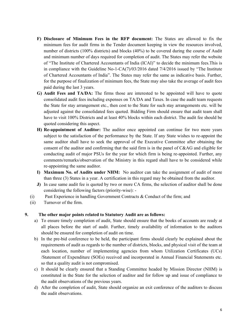- **F) Disclosure of Minimum Fees in the RFP document:** The States are allowed to fix the minimum fees for audit firms in the Tender document keeping in view the resources involved, number of districts (100% districts) and blocks (40%) to be covered during the course of Audit and minimum number of days required for completion of audit. The States may refer the website of "The Institute of Chartered Accountants of India (ICAI)" to decide the minimum fees.This is in compliance with the Guideline No-1-CA(7)/03/2016 dated 7/4/2016 issued by "The Institute of Chartered Accountants of India". The States may refer the same as indicative basis. Further, for the purpose of finalization of minimum fees, the State may also take the average of audit fees paid during the last 3 years.
- **G) Audit Fees and TA/DA:** The firms those are interested to be appointed will have to quote consolidated audit fees including expenses on TA/DA and Taxes. In case the audit team requests the State for stay arrangement etc., then cost to the State for such stay arrangements etc. will be adjusted against the consolidated fees quoted. Bidding Firm should ensure that audit team shall have to visit 100% Districts and at least 40% blocks within each district. The audit fee should be quoted considering this aspect.
- **H) Re-appointment of Auditor:** The auditor once appointed can continue for two more years subject to the satisfaction of the performance by the State. If any State wishes to re-appoint the same auditor shall have to seek the approval of the Executive Committee after obtaining the consent of the auditor and confirming that the said firm is in the panel of C&AG and eligible for conducting audit of major PSUs for the year for which firm is being re-appointed. Further, any comments/remarks/observation of the Ministry in this regard shall have to be considered while re-appointing the same auditor.
- **I) Maximum No. of Audits under NHM:** No auditor can take the assignment of audit of more than three (3) States in a year. A certification in this regard may be obtained from the auditor.
- **J)** In case same audit fee is quoted by two or more CA firms, the selection of auditor shall be done considering the following factors (priority-wise): -
- (i) Past Experience in handling Government Contracts & Conduct of the firm; and
- (ii) Turnover of the firm.

## **9. The other major points related to Statutory Audit are as follows:**

- a) To ensure timely completion of audit, State should ensure that the books of accounts are ready at all places before the start of audit. Further, timely availability of information to the auditors should be ensured for completion of audit on time.
- b) In the pre-bid conference to be held, the participant firms should clearly be explained about the requirements of audit as regards to the number of districts, blocks, and physical visit of the team at each location, number of implementing agencies from whom Utilization Certificates (UCs) /Statement of Expenditure (SOEs) received and incorporated in Annual Financial Statements etc. so that a quality audit is not compromised.
- c) It should be clearly ensured that a Standing Committee headed by Mission Director (NHM) is constituted in the State for the selection of auditor and for follow up and issue of compliance to the audit observations of the previous years.
- d) After the completion of audit, State should organize an exit conference of the auditors to discuss the audit observations.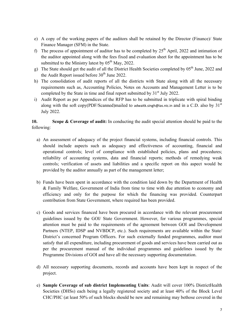- e) A copy of the working papers of the auditors shall be retained by the Director (Finance)/ State Finance Manager (SFM) in the State.
- f) The process of appointment of auditor has to be completed by  $25<sup>th</sup>$  April, 2022 and intimation of the auditor appointed along with the fees fixed and evaluation sheet for the appointment has to be submitted to the Ministry latest by  $05<sup>th</sup>$  May, 2022.
- g) The State should get the audit of all the District Health Societies completed by 05<sup>th</sup> June, 2022 and the Audit Report issued before  $30<sup>th</sup>$  June 2022.
- h) The consolidation of audit reports of all the districts with State along with all the necessary requirements such as, Accounting Policies, Notes on Accounts and Management Letter is to be completed by the State in time and final report submitted by  $31<sup>st</sup>$  July 2022.
- i) Audit Report as per Appendices of the RFP has to be submitted in triplicate with spiral binding along with the soft copy(PDF/Scanned)mailed to adwaitk.singh@ias.nic.in and in a C.D. also by  $31<sup>st</sup>$ July 2022.

# **10. Scope & Coverage of audit:** In conducting the audit special attention should be paid to the following:

- a) An assessment of adequacy of the project financial systems, including financial controls. This should include aspects such as adequacy and effectiveness of accounting, financial and operational controls; level of compliance with established policies, plans and procedures; reliability of accounting systems, data and financial reports; methods of remedying weak controls; verification of assets and liabilities and a specific report on this aspect would be provided by the auditor annually as part of the management letter;
- b) Funds have been spent in accordance with the condition laid down by the Department of Health & Family Welfare, Government of India from time to time with due attention to economy and efficiency and only for the purpose for which the financing was provided. Counterpart contribution from State Government, where required has been provided.
- c) Goods and services financed have been procured in accordance with the relevant procurement guidelines issued by the GOI/ State Government. However, for various programmes, special attention must be paid to the requirements of the agreement between GOI and Development Partners (NTEP, IDSP and NVBDCP, etc.). Such requirements are available within the State/ District's concerned Program Officers. For such externally funded programmes, auditor must satisfy that all expenditure, including procurement of goods and services have been carried out as per the procurement manual of the individual programmes and guidelines issued by the Programme Divisions of GOI and have all the necessary supporting documentation.
- d) All necessary supporting documents, records and accounts have been kept in respect of the project.
- e) **Sample Coverage of sub district Implementing Units**: Audit will cover 100% DistrictHealth Societies (DHSs) each being a legally registered society and at least 40% of the Block Level CHC/PHC (at least 50% of such blocks should be new and remaining may bethose covered in the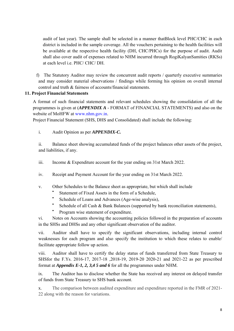audit of last year). The sample shall be selected in a manner thatBlock level PHC/CHC in each district is included in the sample coverage. All the vouchers pertaining to the health facilities will be available at the respective health facility (DH, CHC/PHCs) for the purpose of audit. Audit shall also cover audit of expenses related to NHM incurred through RogiKalyanSamities (RKSs) at each level i.e. PHC/ CHC/ DH.

f) The Statutory Auditor may review the concurrent audit reports / quarterly executive summaries and may consider material observations / findings while forming his opinion on overall internal control and truth & fairness of accounts/financial statements.

## **11. Project Financial Statements**

A format of such financial statements and relevant schedules showing the consolidation of all the programmes is given at (*APPENDIX A* - FORMAT of FINANCIAL STATEMENTS) and also on the website of MoHFW at www.nhm.gov.in.

Project Financial Statement (SHS, DHS and Consolidated) shall include the following:

i. Audit Opinion as per *APPENDIX-C.*

ii. Balance sheet showing accumulated funds of the project balances other assets of the project, and liabilities, if any.

- iii. Income & Expenditure account for the year ending on 31st March 2022.
- iv. Receipt and Payment Account for the year ending on 31st March 2022.
- v. Other Schedules to the Balance sheet as appropriate, but which shall include
	- Statement of Fixed Assets in the form of a Schedule,
	- Schedule of Loans and Advances (Age-wise analysis),
	- Schedule of all Cash & Bank Balances (supported by bank reconciliation statements),
	- Program wise statement of expenditure.

vi. Notes on Accounts showing the accounting policies followed in the preparation of accounts in the SHSs and DHSs and any other significant observation of the auditor.

vii. Auditor shall have to specify the significant observations, including internal control weaknesses for each program and also specify the institution to which these relates to enable/ facilitate appropriate follow up action.

viii. Auditor shall have to certify the delay status of funds transferred from State Treasury to SHSfor the F.Ys. 2016-17, 2017-18 ,2018-19, 2019-20 2020-21 and 2021-22 as per prescribed format at *Appendix E-1, 2, 3,4 5 and 6* for all the programmes under NHM.

ix. The Auditor has to disclose whether the State has received any interest on delayed transfer of funds from State Treasury to SHS bank account.

x. The comparison between audited expenditure and expenditure reported in the FMR of 2021- 22 along with the reason for variations.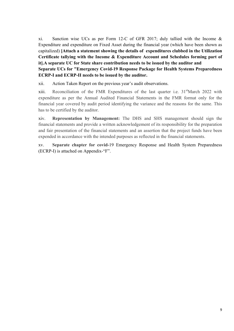xi. Sanction wise UCs as per Form 12-C of GFR 2017; duly tallied with the Income & Expenditure and expenditure on Fixed Asset during the financial year (which have been shown as capitalized) **[Attach a statement showing the details of expenditures clubbed in the Utilization Certificate tallying with the Income & Expenditure Account and Schedules forming part of it].A separate UC for State share contribution needs to be issued by the auditor and Separate UCs for "Emergency Covid-19 Response Package for Health Systems Preparedness ECRP-I and ECRP-II needs to be issued by the auditor.**

xii. Action Taken Report on the previous year's audit observations.

xiii. Reconciliation of the FMR Expenditures of the last quarter i.e. 31<sup>st</sup>March 2022 with expenditure as per the Annual Audited Financial Statements in the FMR format only for the financial year covered by audit period identifying the variance and the reasons for the same. This has to be certified by the auditor.

xiv. **Representation by Management:** The DHS and SHS management should sign the financial statements and provide a written acknowledgement of its responsibility for the preparation and fair presentation of the financial statements and an assertion that the project funds have been expended in accordance with the intended purposes as reflected in the financial statements.

xv. **Separate chapter for covid-**19 Emergency Response and Health System Preparedness (ECRP-I) is attached on Appendix-"F".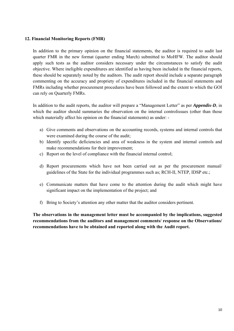#### **12. Financial Monitoring Reports (FMR)**

In addition to the primary opinion on the financial statements, the auditor is required to audit last quarter FMR in the new format (quarter ending March) submitted to MoHFW. The auditor should apply such tests as the auditor considers necessary under the circumstances to satisfy the audit objective. Where ineligible expenditures are identified as having been included in the financial reports, these should be separately noted by the auditors. The audit report should include a separate paragraph commenting on the accuracy and propriety of expenditures included in the financial statements and FMRs including whether procurement procedures have been followed and the extent to which the GOI can rely on Quarterly FMRs.

In addition to the audit reports, the auditor will prepare a "Management Letter" as per *Appendix-D*, in which the auditor should summaries the observation on the internal controlissues (other than those which materially affect his opinion on the financial statements) as under: -

- a) Give comments and observations on the accounting records, systems and internal controls that were examined during the course of the audit;
- b) Identify specific deficiencies and area of weakness in the system and internal controls and make recommendations for their improvement;
- c) Report on the level of compliance with the financial internal control;
- d) Report procurements which have not been carried out as per the procurement manual/ guidelines of the State for the individual programmes such as; RCH-II, NTEP, IDSP etc.;
- e) Communicate matters that have come to the attention during the audit which might have significant impact on the implementation of the project; and
- f) Bring to Society's attention any other matter that the auditor considers pertinent.

**The observations in the management letter must be accompanied by the implications, suggested recommendations from the auditors and management comments/ response on the Observations/ recommendations have to be obtained and reported along with the Audit report.**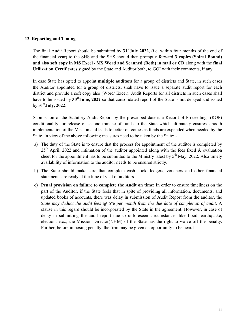#### **13. Reporting and Timing**

The final Audit Report should be submitted by **31stJuly 2022**, (i.e. within four months of the end of the financial year) to the SHS and the SHS should then promptly forward **3 copies (Spiral Bound) and also soft copy in MS Excel / MS Word and Scanned (Both) in mail or CD** along with the **final Utilization Certificates** signed by the State and Auditor both, to GOI with their comments, if any.

In case State has opted to appoint **multiple auditors** for a group of districts and State, in such cases the Auditor appointed for a group of districts, shall have to issue a separate audit report for each district and provide a soft copy also (Word/ Excel). Audit Reports for all districts in such cases shall have to be issued by **30thJune, 2022** so that consolidated report of the State is not delayed and issued by **31stJuly, 2022**.

Submission of the Statutory Audit Report by the prescribed date is a Record of Proceedings (ROP) conditionality for release of second tranche of funds to the State which ultimately ensures smooth implementation of the Mission and leads to better outcomes as funds are expended when needed by the State. In view of the above following measures need to be taken by the State: -

- a) The duty of the State is to ensure that the process for appointment of the auditor is completed by  $25<sup>th</sup>$  April, 2022 and intimation of the auditor appointed along with the fees fixed & evaluation sheet for the appointment has to be submitted to the Ministry latest by  $5<sup>th</sup>$  May, 2022. Also timely availability of information to the auditor needs to be ensured strictly.
- b) The State should make sure that complete cash book, ledgers, vouchers and other financial statements are ready at the time of visit of auditors.
- c) **Penal provision on failure to complete the Audit on time:** In order to ensure timeliness on the part of the Auditor, if the State feels that in spite of providing all information, documents, and updated books of accounts, there was delay in submission of Audit Report from the auditor, the *State may deduct the audit fees @ 5% per month from the due date of completion of audit*. A clause in this regard should be incorporated by the State in the agreement. However, in case of delay in submitting the audit report due to unforeseen circumstances like flood, earthquake, election, etc.., the Mission Director(NHM) of the State has the right to waive off the penalty. Further, before imposing penalty, the firm may be given an opportunity to be heard.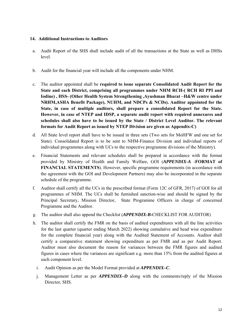#### **14. Additional Instructions to Auditors**

- a. Audit Report of the SHS shall include audit of all the transactions at the State as well as DHSs level.
- b. Audit for the financial year will include all the components under NHM.
- c. The auditor appointed shall be **required to issue separate Consolidated Audit Report for the State and each District, comprising all programmes under NHM RCH-( RCH RI PPI and Iodine) , HSS- (Other Health System Strengthening ,Ayushman Bharat –H&W centre under NRHM,ASHA Benefit Package), NUHM, and NDCPs & NCDs). Auditor appointed for the State, in case of multiple auditors, shall prepare a consolidated Report for the State. However, in case of NTEP and IDSP, a separate audit report with required annexures and schedules shall also have to be issued by the State / District Level Auditor. The relevant formats for Audit Report as issued by NTEP Division are given as Appendix-C)**
- d. All State level report shall have to be issued in three sets (Two sets for MoHFW and one set for State). Consolidated Report is to be sent to NHM-Finance Division and individual reports of individual programmes along with UCs to the respective programme divisions of the Ministry).
- e. Financial Statements and relevant schedules shall be prepared in accordance with the format provided by Ministry of Health and Family Welfare, GOI (*APPENDIX-A -***FORMAT of FINANCIAL STATEMENTS**). However, specific programme requirements (in accordance with the agreement with the GOI and Development Partners) may also be incorporated in the separate schedule of the programme.
- f. Auditor shall certify all the UCs in the prescribed format (Form 12C of GFR, 2017) of GOI for all programmes of NHM. The UCs shall be furnished sanction-wise and should be signed by the Principal Secretary, Mission Director, State Programme Officers in charge of concerned Programme and the Auditor.
- g. The auditor shall also append the Checklist (*APPENDIX-B***-**CHECKLIST FOR AUDITOR)
- h. The auditor shall certify the FMR on the basis of audited expenditures with all the line activities for the last quarter (quarter ending March 2022) showing cumulative and head wise expenditure for the complete financial year) along with the Audited Statement of Accounts. Auditor shall certify a comparative statement showing expenditure as per FMR and as per Audit Report. Auditor must also document the reason for variances between the FMR figures and audited figures in cases where the variances are significant e.g. more than 15% from the audited figures at each component level.
	- i. Audit Opinion as per the Model Format provided at *APPENDIX–C*.
	- j. Management Letter as per *APPENDIX–D* along with the comments/reply of the Mission Director, SHS.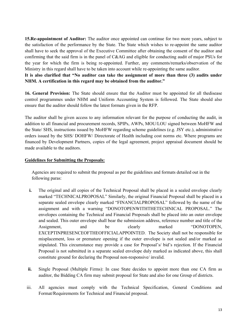**15.Re-appointment of Auditor:** The auditor once appointed can continue for two more years, subject to the satisfaction of the performance by the State. The State which wishes to re-appoint the same auditor shall have to seek the approval of the Executive Committee after obtaining the consent of the auditor and confirming that the said firm is in the panel of C&AG and eligible for conducting audit of major PSUs for the year for which the firm is being re-appointed. Further, any comments/remarks/observation of the Ministry in this regard shall have to be taken into account while re-appointing the same auditor.

## **It is also clarified that "No auditor can take the assignment of more than three (3) audits under NHM. A certification in this regard may be obtained from the auditor."**

**16. General Provision:** The State should ensure that the Auditor must be appointed for all thedisease control programmes under NHM and Uniform Accounting System is followed. The State should also ensure that the auditor should follow the latest formats given in the RFP.

The auditor shall be given access to any information relevant for the purpose of conducting the audit, in addition to all financial and procurement records, SPIPs, AWPs, MOU/LOU signed between MoHFW and the State/ SHS, instructions issued by MoHFW regarding scheme guidelines (e.g. JSY etc.), administrative orders issued by the SHS/ DOHFW/ Directorate of Health including cost norms etc. Where programs are financed by Development Partners, copies of the legal agreement, project appraisal document should be made available to the auditors.

## **Guidelines for Submitting the Proposals:**

Agencies are required to submit the proposal as per the guidelines and formats detailed out in the following paras:

- **i.** The original and all copies of the Technical Proposal shall be placed in a sealed envelope clearly marked "TECHNICALPROPOSAL" Similarly, the original Financial Proposal shall be placed in a separate sealed envelope clearly marked "FINANCIALPROPOSAL" followed by the name of the assignment and with a warning "DONOTOPENWITHTHETECHNICAL PROPOSAL." The envelopes containing the Technical and Financial Proposals shall be placed into an outer envelope and sealed. This outer envelope shall bear the submission address, reference number and title of the Assignment, and be clearly marked "DONOTOPEN, EXCEPTINPRESENCEOFTHEOFFICIALAPPOINTED. The Society shall not be responsible for misplacement, loss or premature opening if the outer envelope is not sealed and/or marked as stipulated. This circumstance may provide a case for Proposal's/ bid's rejection. If the Financial Proposal is not submitted in a separate sealed envelope duly marked as indicated above, this shall constitute ground for declaring the Proposal non-responsive/ invalid.
- **ii.** Single Proposal (Multiple Firms): In case State decides to appoint more than one CA firm as auditor, the Bidding CA firm may submit proposal for State and also for one Group of districts.
- iii. All agencies must comply with the Technical Specification, General Conditions and Format/Requirements for Technical and Financial proposal.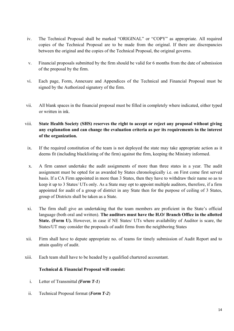- iv. The Technical Proposal shall be marked "ORIGINAL" or "COPY" as appropriate. All required copies of the Technical Proposal are to be made from the original. If there are discrepancies between the original and the copies of the Technical Proposal, the original governs.
- v. Financial proposals submitted by the firm should be valid for 6 months from the date of submission of the proposal by the firm.
- vi. Each page, Form, Annexure and Appendices of the Technical and Financial Proposal must be signed by the Authorized signatory of the firm.
- vii. All blank spaces in the financial proposal must be filled in completely where indicated, either typed or written in ink.

# viii. **State Health Society (SHS) reserves the right to accept or reject any proposal without giving any explanation and can change the evaluation criteria as per its requirements in the interest of the organization.**

- ix. If the required constitution of the team is not deployed the state may take appropriate action as it deems fit (including blacklisting of the firm) against the firm, keeping the Ministry informed.
- x. A firm cannot undertake the audit assignments of more than three states in a year. The audit assignment must be opted for as awarded by States chronologically i.e. on First come first served basis. If a CA Firm appointed in more than 3 States, then they have to withdraw their name so as to keep it up to 3 States/ UTs only. As a State may opt to appoint multiple auditors, therefore, if a firm appointed for audit of a group of district in any State then for the purpose of ceiling of 3 States, group of Districts shall be taken as a State.
- xi. The firm shall give an undertaking that the team members are proficient in the State's official language (both oral and written). **The auditors must have the H.O/ Branch Office in the allotted State. (Form U).** However, in case if NE States/ UTs where availability of Auditor is scare, the States/UT may consider the proposals of audit firms from the neighboring States
- xii. Firm shall have to depute appropriate no. of teams for timely submission of Audit Report and to attain quality of audit.
- xiii. Each team shall have to be headed by a qualified chartered accountant.

## **Technical & Financial Proposal will consist:**

- i. Letter of Transmittal *(Form T-1*)
- ii. Technical Proposal format (*Form T-2*)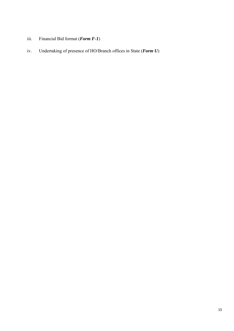- iii. Financial Bid format (*Form F-1*)
- iv. Undertaking of presence of HO/Branch offices in State (*Form U*)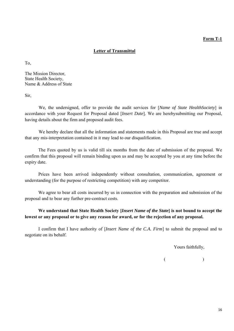#### **Form T-1**

#### **Letter of Transmittal**

To,

The Mission Director, State Health Society, Name & Address of State

Sir,

We, the undersigned, offer to provide the audit services for [*Name of State HealthSociety*] in accordance with your Request for Proposal dated [*Insert Date*]. We are herebysubmitting our Proposal, having details about the firm and proposed audit fees.

We hereby declare that all the information and statements made in this Proposal are true and accept that any mis-interpretation contained in it may lead to our disqualification.

The Fees quoted by us is valid till six months from the date of submission of the proposal. We confirm that this proposal will remain binding upon us and may be accepted by you at any time before the expiry date.

Prices have been arrived independently without consultation, communication, agreement or understanding (for the purpose of restricting competition) with any competitor.

We agree to bear all costs incurred by us in connection with the preparation and submission of the proposal and to bear any further pre-contract costs.

# **We understand that State Health Society [***Insert Name of the State***] is not bound to accept the lowest or any proposal or to give any reason for award, or for the rejection of any proposal.**

I confirm that I have authority of [*Insert Name of the C.A. Firm*] to submit the proposal and to negotiate on its behalf.

Yours faithfully,

 $($  )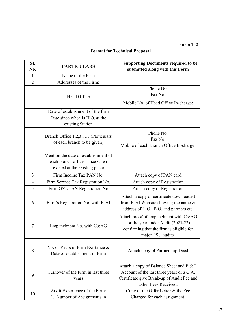# **Form T-2**

# **Format for Technical Proposal**

| SI.<br>No.     | <b>PARTICULARS</b>                                                                                      | <b>Supporting Documents required to be</b><br>submitted along with this Form                                                                                |
|----------------|---------------------------------------------------------------------------------------------------------|-------------------------------------------------------------------------------------------------------------------------------------------------------------|
| $\mathbf{1}$   | Name of the Firm                                                                                        |                                                                                                                                                             |
| $\overline{2}$ | Addresses of the Firm:                                                                                  |                                                                                                                                                             |
|                |                                                                                                         | Phone No:                                                                                                                                                   |
|                | Head Office                                                                                             | Fax No:                                                                                                                                                     |
|                |                                                                                                         | Mobile No. of Head Office In-charge:                                                                                                                        |
|                | Date of establishment of the firm                                                                       |                                                                                                                                                             |
|                | Date since when is H.O. at the<br>existing Station                                                      |                                                                                                                                                             |
|                | Branch Office 1,2,3(Particulars<br>of each branch to be given)                                          | Phone No:<br>Fax No:<br>Mobile of each Branch Office In-charge:                                                                                             |
|                | Mention the date of establishment of<br>each branch offices since when<br>existed at the existing place |                                                                                                                                                             |
| 3              | Firm Income Tax PAN No.                                                                                 | Attach copy of PAN card                                                                                                                                     |
| $\overline{4}$ | Firm Service Tax Registration No.                                                                       | Attach copy of Registration                                                                                                                                 |
| 5              | Firm GST/TAN Registration No                                                                            | Attach copy of Registration                                                                                                                                 |
| 6              | Firm's Registration No. with ICAI                                                                       | Attach a copy of certificate downloaded<br>from ICAI Website showing the name &<br>address of H.O., B.O. and partners etc.                                  |
| $\tau$         | Empanelment No. with C&AG                                                                               | Attach proof of empanelment with C&AG<br>for the year under Audit (2021-22)<br>confirming that the firm is eligible for<br>major PSU audits.                |
| 8              | No. of Years of Firm Existence &<br>Date of establishment of Firm                                       | Attach copy of Partnership Deed                                                                                                                             |
| 9              | Turnover of the Firm in last three<br>years                                                             | Attach a copy of Balance Sheet and P & L<br>Account of the last three years or a C.A.<br>Certificate give Break-up of Audit Fee and<br>Other Fees Received. |
| 10             | Audit Experience of the Firm:<br>1. Number of Assignments in                                            | Copy of the Offer Letter & the Fee<br>Charged for each assignment.                                                                                          |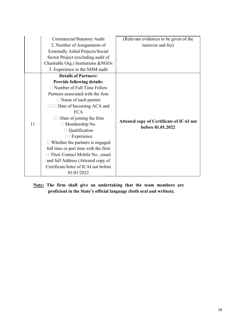|    | Commercial/Statutory Audit              | (Relevant evidences to be given of the          |
|----|-----------------------------------------|-------------------------------------------------|
|    | 2. Number of Assignments of             | turnover and fee)                               |
|    | <b>Externally Aided Projects/Social</b> |                                                 |
|    | Sector Project (excluding audit of      |                                                 |
|    | Charitable Org.) Institutions & NGOs    |                                                 |
|    | 3. Experience in the NHM audit          |                                                 |
|    | <b>Details of Partners:</b>             |                                                 |
|    | <b>Provide following details:</b>       |                                                 |
|    | $\Box$ Number of Full Time Fellow       |                                                 |
|    | Partners associated with the firm       |                                                 |
|    | $\Box$ Name of each partner             |                                                 |
|    |                                         |                                                 |
|    | <b>FCA</b>                              |                                                 |
|    | $\square$ Date of joining the firm      | <b>Attested copy of Certificate of ICAI not</b> |
| 11 | $\Box$ Membership No.                   | before 01.01.2022                               |
|    | Qualification                           |                                                 |
|    | $\square$ Experience                    |                                                 |
|    | $\Box$ Whether the partners is engaged  |                                                 |
|    | full time or part time with the firm    |                                                 |
|    | Their Contact Mobile No., email         |                                                 |
|    | and full Address (Attested copy of      |                                                 |
|    | Certificate/letter of ICAI not before   |                                                 |
|    | 01/01/2022                              |                                                 |

**Note: The firm shall give an undertaking that the team members are proficient in the State's official language (both oral and written).**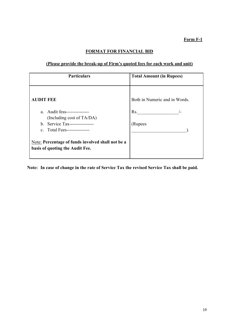# **FORMAT FOR FINANCIAL BID**

# **(Please provide the break-up of Firm's quoted fees for each work and unit)**

| <b>Particulars</b>                                                                                                           | <b>Total Amount (in Rupees)</b> |
|------------------------------------------------------------------------------------------------------------------------------|---------------------------------|
| <b>AUDIT FEE</b>                                                                                                             | Both in Numeric and in Words.   |
| a. Audit fess---------------<br>(Including cost of TA/DA)<br>b. Service Tax-----------------<br>c. Total Fees--------------- | Rs.<br>$/$ $-$<br>(Rupees       |
| Note: Percentage of funds involved shall not be a<br>basis of quoting the Audit Fee.                                         |                                 |

**Note: In case of change in the rate of Service Tax the revised Service Tax shall be paid.**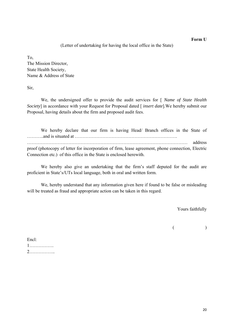#### **Form U**

#### (Letter of undertaking for having the local office in the State)

To,

The Mission Director, State Health Society, Name & Address of State

Sir,

We, the undersigned offer to provide the audit services for [ *Name of State Health Society*] in accordance with your Request for Proposal dated [ *insert date*].We hereby submit our Proposal, having details about the firm and proposed audit fees.

We hereby declare that our firm is having Head/ Branch offices in the State of ………..and is situated at …………………………………………………………. …………………………………………………………………………………………… address proof (photocopy of letter for incorporation of firm, lease agreement, phone connection, Electric Connection etc.) of this office in the State is enclosed herewith.

We hereby also give an undertaking that the firm's staff deputed for the audit are proficient in State's/UTs local language, both in oral and written form.

We, hereby understand that any information given here if found to be false or misleading will be treated as fraud and appropriate action can be taken in this regard.

Yours faithfully

 $($  )

Encl: 1……………. 2……………..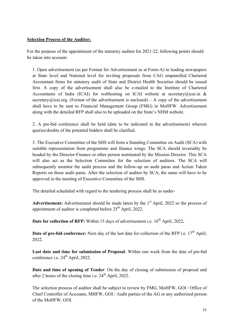## **Selection Process of the Auditor:**

For the purpose of the appointment of the statutory auditor for 2021-22, following points should be taken into account-

1. Open advertisement (as per Format for Advertisement as at Form-A) in leading newspapers at State level and National level for inviting proposals from CAG empanelled Chartered Accountant firms for statutory audit of State and District Health Societies should be issued first. A copy of the advertisement shall also be e-mailed to the Institute of Chartered Accountants of India (ICAI) for webhosting on ICAI website at secretary@icai.in & secretary@icai.org. (Format of the advertisement is enclosed) – A copy of the advertisement shall have to be sent to Financial Management Group (FMG) in MoHFW. Advertisement along with the detailed RFP shall also to be uploaded on the State's NHM website.

2. A pre-bid conference shall be held (date to be indicated in the advertisement) wherein queries/doubts of the potential bidders shall be clarified.

3. The Executive Committee of the SHS will form a Standing Committee on Audit (SCA) with suitable representation from programme and finance wings. The SCA should invariably be headed by the Director-Finance or other person nominated by the Mission Director. This SCA will also act as the Selection Committee for the selection of auditors. The SCA will subsequently monitor the audit process and the follow-up on audit paras and Action Taken Reports on those audit paras. After the selection of auditor by SCA, the same will have to be approved in the meeting of Executive Committee of the SHS.

The detailed scheduled with regard to the tendering process shall be as under-

Advertisement: Advertisement should be made latest by the 1<sup>st</sup> April, 2022 so the process of appointment of auditor is completed before  $25<sup>th</sup>$  April, 2022.

**Date for collection of RFP:** Within 15 days of advertisement i.e. 16<sup>th</sup> April, 2022.

**Date of pre-bid conference:** Next day of the last date for collection of the RFP i.e.  $17<sup>th</sup>$  April, 2022.

**Last date and time for submission of Proposal**: Within one week from the date of pre-bid conference i.e.  $24<sup>th</sup>$  April, 2022.

**Date and time of opening of Tender**: On the day of closing of submission of proposal and after 2 hours of the closing time i.e.  $24<sup>th</sup>$  April, 2022.

The selection process of auditor shall be subject to review by FMG, MoHFW, GOI / Office of Chief Controller of Accounts, MHFW, GOI / Audit parties of the AG or any authorized person of the MoHFW, GOI.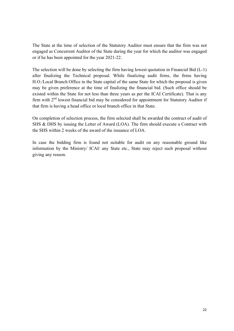The State at the time of selection of the Statutory Auditor must ensure that the firm was not engaged as Concurrent Auditor of the State during the year for which the auditor was engaged or if he has been appointed for the year 2021-22.

The selection will be done by selecting the firm having lowest quotation in Financial Bid (L-1) after finalizing the Technical proposal. While finalizing audit firms, the firms having H.O./Local Branch Office in the State capital of the same State for which the proposal is given may be given preference at the time of finalizing the financial bid. (Such office should be existed within the State for not less than three years as per the ICAI Certificate). That is any firm with  $2<sup>nd</sup>$  lowest financial bid may be considered for appointment for Statutory Auditor if that firm is having a head office or local branch office in that State.

On completion of selection process, the firm selected shall be awarded the contract of audit of SHS & DHS by issuing the Letter of Award (LOA). The firm should execute a Contract with the SHS within 2 weeks of the award of the issuance of LOA.

In case the bidding firm is found not suitable for audit on any reasonable ground like information by the Ministry/ ICAI/ any State etc., State may reject such proposal without giving any reason.